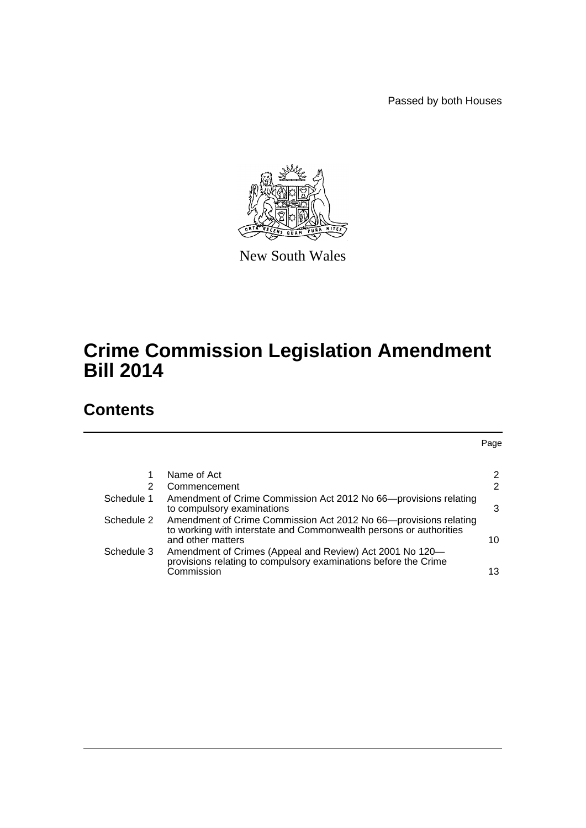Passed by both Houses

Page



New South Wales

# **Crime Commission Legislation Amendment Bill 2014**

# **Contents**

[1 Name of Act](#page-2-0) 2 [2 Commencement](#page-2-1) 2 2 [Schedule 1 Amendment of Crime Commission Act 2012 No 66—provisions relating](#page-3-0)  [to compulsory examinations](#page-3-0) 3 [Schedule 2 Amendment of Crime Commission Act 2012 No 66—provisions relating](#page-10-0)  [to working with interstate and Commonwealth persons or authorities](#page-10-0)  and other matters 10

|            | and other matters                                                                                                           |    |
|------------|-----------------------------------------------------------------------------------------------------------------------------|----|
| Schedule 3 | Amendment of Crimes (Appeal and Review) Act 2001 No 120–<br>provisions relating to compulsory examinations before the Crime |    |
|            | Commission                                                                                                                  | 13 |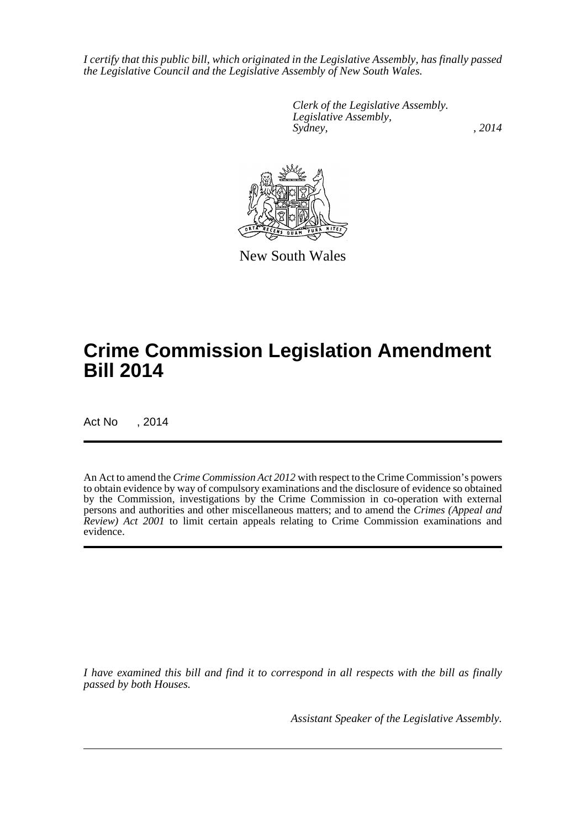*I certify that this public bill, which originated in the Legislative Assembly, has finally passed the Legislative Council and the Legislative Assembly of New South Wales.*

> *Clerk of the Legislative Assembly. Legislative Assembly, Sydney,* , 2014



New South Wales

# **Crime Commission Legislation Amendment Bill 2014**

Act No , 2014

An Act to amend the *Crime Commission Act 2012* with respect to the Crime Commission's powers to obtain evidence by way of compulsory examinations and the disclosure of evidence so obtained by the Commission, investigations by the Crime Commission in co-operation with external persons and authorities and other miscellaneous matters; and to amend the *Crimes (Appeal and Review) Act 2001* to limit certain appeals relating to Crime Commission examinations and evidence.

*I have examined this bill and find it to correspond in all respects with the bill as finally passed by both Houses.*

*Assistant Speaker of the Legislative Assembly.*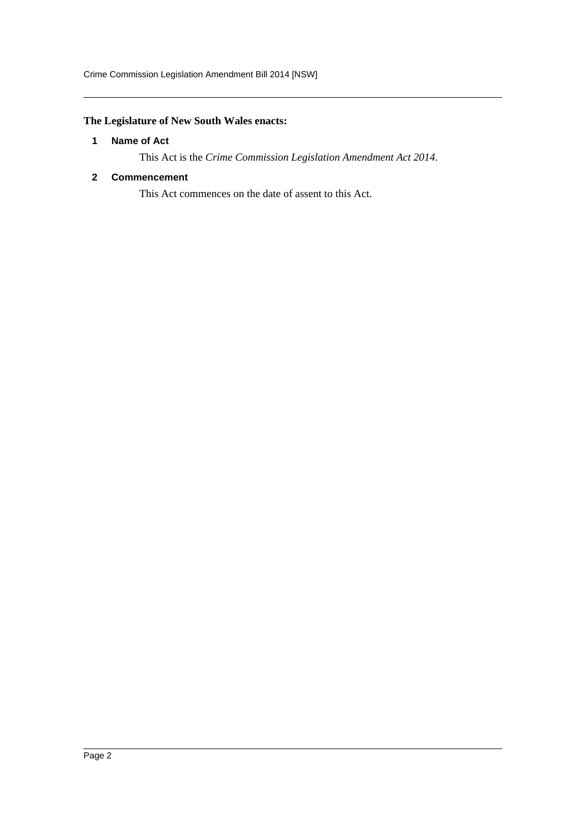# <span id="page-2-0"></span>**The Legislature of New South Wales enacts:**

# **1 Name of Act**

This Act is the *Crime Commission Legislation Amendment Act 2014*.

# <span id="page-2-1"></span>**2 Commencement**

This Act commences on the date of assent to this Act.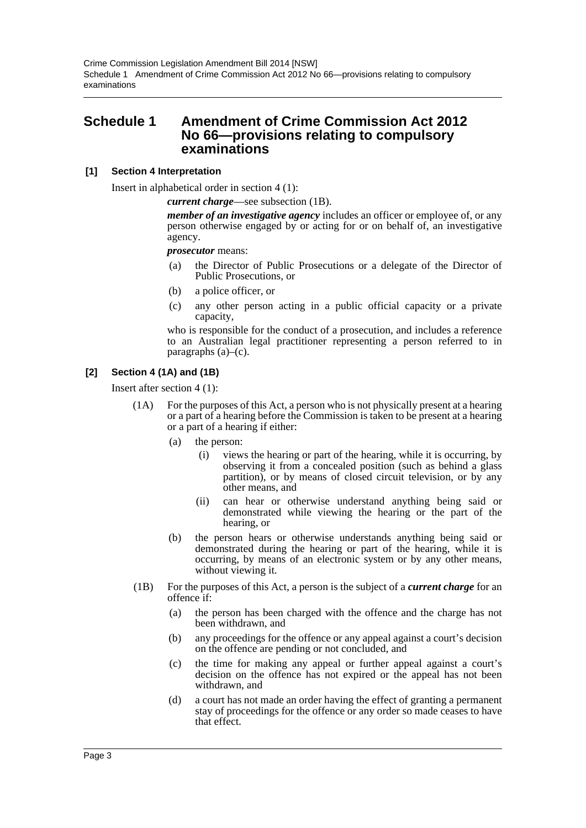# <span id="page-3-0"></span>**Schedule 1 Amendment of Crime Commission Act 2012 No 66—provisions relating to compulsory examinations**

# **[1] Section 4 Interpretation**

Insert in alphabetical order in section 4 (1):

*current charge*—see subsection (1B).

*member of an investigative agency* includes an officer or employee of, or any person otherwise engaged by or acting for or on behalf of, an investigative agency.

### *prosecutor* means:

- (a) the Director of Public Prosecutions or a delegate of the Director of Public Prosecutions, or
- (b) a police officer, or
- (c) any other person acting in a public official capacity or a private capacity,

who is responsible for the conduct of a prosecution, and includes a reference to an Australian legal practitioner representing a person referred to in paragraphs (a)–(c).

# **[2] Section 4 (1A) and (1B)**

Insert after section 4 (1):

- (1A) For the purposes of this Act, a person who is not physically present at a hearing or a part of a hearing before the Commission is taken to be present at a hearing or a part of a hearing if either:
	- (a) the person:
		- (i) views the hearing or part of the hearing, while it is occurring, by observing it from a concealed position (such as behind a glass partition), or by means of closed circuit television, or by any other means, and
		- (ii) can hear or otherwise understand anything being said or demonstrated while viewing the hearing or the part of the hearing, or
	- (b) the person hears or otherwise understands anything being said or demonstrated during the hearing or part of the hearing, while it is occurring, by means of an electronic system or by any other means, without viewing it.
- (1B) For the purposes of this Act, a person is the subject of a *current charge* for an offence if:
	- (a) the person has been charged with the offence and the charge has not been withdrawn, and
	- (b) any proceedings for the offence or any appeal against a court's decision on the offence are pending or not concluded, and
	- (c) the time for making any appeal or further appeal against a court's decision on the offence has not expired or the appeal has not been withdrawn, and
	- (d) a court has not made an order having the effect of granting a permanent stay of proceedings for the offence or any order so made ceases to have that effect.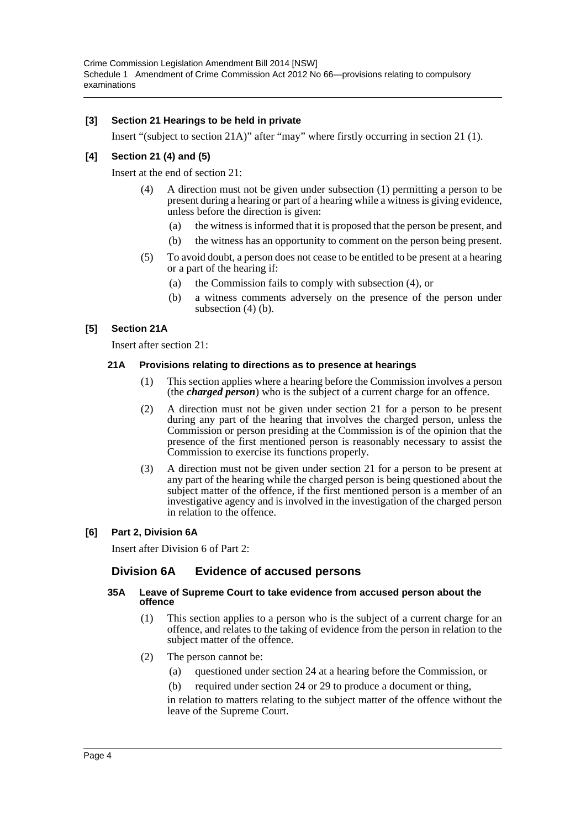Crime Commission Legislation Amendment Bill 2014 [NSW] Schedule 1 Amendment of Crime Commission Act 2012 No 66—provisions relating to compulsory examinations

### **[3] Section 21 Hearings to be held in private**

Insert "(subject to section 21A)" after "may" where firstly occurring in section 21 (1).

# **[4] Section 21 (4) and (5)**

Insert at the end of section 21:

- (4) A direction must not be given under subsection (1) permitting a person to be present during a hearing or part of a hearing while a witness is giving evidence, unless before the direction is given:
	- (a) the witness is informed that it is proposed that the person be present, and
	- (b) the witness has an opportunity to comment on the person being present.
- (5) To avoid doubt, a person does not cease to be entitled to be present at a hearing or a part of the hearing if:
	- (a) the Commission fails to comply with subsection (4), or
	- (b) a witness comments adversely on the presence of the person under subsection (4) (b).

### **[5] Section 21A**

Insert after section 21:

#### **21A Provisions relating to directions as to presence at hearings**

- (1) This section applies where a hearing before the Commission involves a person (the *charged person*) who is the subject of a current charge for an offence.
- (2) A direction must not be given under section 21 for a person to be present during any part of the hearing that involves the charged person, unless the Commission or person presiding at the Commission is of the opinion that the presence of the first mentioned person is reasonably necessary to assist the Commission to exercise its functions properly.
- (3) A direction must not be given under section 21 for a person to be present at any part of the hearing while the charged person is being questioned about the subject matter of the offence, if the first mentioned person is a member of an investigative agency and is involved in the investigation of the charged person in relation to the offence.

### **[6] Part 2, Division 6A**

Insert after Division 6 of Part 2:

# **Division 6A Evidence of accused persons**

#### **35A Leave of Supreme Court to take evidence from accused person about the offence**

- (1) This section applies to a person who is the subject of a current charge for an offence, and relates to the taking of evidence from the person in relation to the subject matter of the offence.
- (2) The person cannot be:
	- (a) questioned under section 24 at a hearing before the Commission, or
	- (b) required under section 24 or 29 to produce a document or thing,

in relation to matters relating to the subject matter of the offence without the leave of the Supreme Court.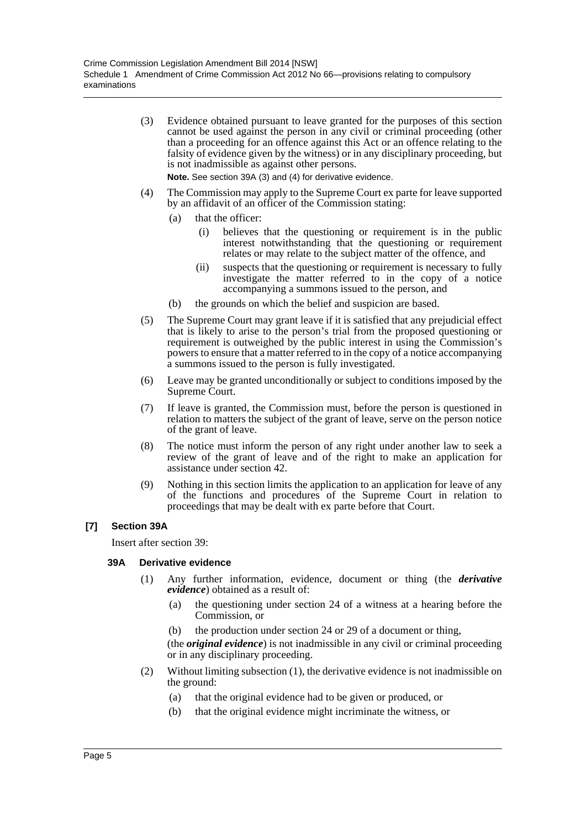(3) Evidence obtained pursuant to leave granted for the purposes of this section cannot be used against the person in any civil or criminal proceeding (other than a proceeding for an offence against this Act or an offence relating to the falsity of evidence given by the witness) or in any disciplinary proceeding, but is not inadmissible as against other persons.

**Note.** See section 39A (3) and (4) for derivative evidence.

- (4) The Commission may apply to the Supreme Court ex parte for leave supported by an affidavit of an officer of the Commission stating:
	- (a) that the officer:
		- (i) believes that the questioning or requirement is in the public interest notwithstanding that the questioning or requirement relates or may relate to the subject matter of the offence, and
		- (ii) suspects that the questioning or requirement is necessary to fully investigate the matter referred to in the copy of a notice accompanying a summons issued to the person, and
	- (b) the grounds on which the belief and suspicion are based.
- (5) The Supreme Court may grant leave if it is satisfied that any prejudicial effect that is likely to arise to the person's trial from the proposed questioning or requirement is outweighed by the public interest in using the Commission's powers to ensure that a matter referred to in the copy of a notice accompanying a summons issued to the person is fully investigated.
- (6) Leave may be granted unconditionally or subject to conditions imposed by the Supreme Court.
- (7) If leave is granted, the Commission must, before the person is questioned in relation to matters the subject of the grant of leave, serve on the person notice of the grant of leave.
- (8) The notice must inform the person of any right under another law to seek a review of the grant of leave and of the right to make an application for assistance under section 42.
- (9) Nothing in this section limits the application to an application for leave of any of the functions and procedures of the Supreme Court in relation to proceedings that may be dealt with ex parte before that Court.

### **[7] Section 39A**

Insert after section 39:

### **39A Derivative evidence**

- (1) Any further information, evidence, document or thing (the *derivative evidence*) obtained as a result of:
	- (a) the questioning under section 24 of a witness at a hearing before the Commission, or
	- (b) the production under section 24 or 29 of a document or thing,

(the *original evidence*) is not inadmissible in any civil or criminal proceeding or in any disciplinary proceeding.

- (2) Without limiting subsection (1), the derivative evidence is not inadmissible on the ground:
	- (a) that the original evidence had to be given or produced, or
	- (b) that the original evidence might incriminate the witness, or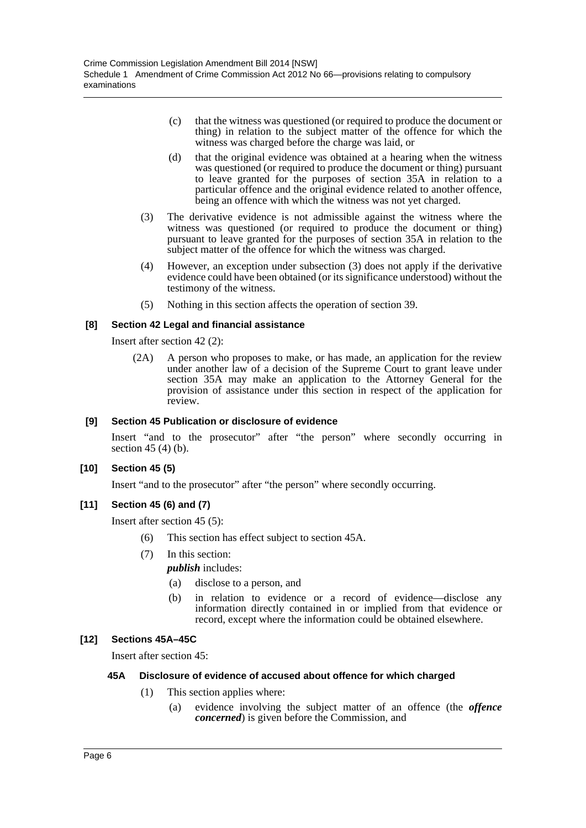- (c) that the witness was questioned (or required to produce the document or thing) in relation to the subject matter of the offence for which the witness was charged before the charge was laid, or
- (d) that the original evidence was obtained at a hearing when the witness was questioned (or required to produce the document or thing) pursuant to leave granted for the purposes of section 35A in relation to a particular offence and the original evidence related to another offence, being an offence with which the witness was not yet charged.
- (3) The derivative evidence is not admissible against the witness where the witness was questioned (or required to produce the document or thing) pursuant to leave granted for the purposes of section 35A in relation to the subject matter of the offence for which the witness was charged.
- (4) However, an exception under subsection (3) does not apply if the derivative evidence could have been obtained (or its significance understood) without the testimony of the witness.
- (5) Nothing in this section affects the operation of section 39.

# **[8] Section 42 Legal and financial assistance**

Insert after section 42 (2):

(2A) A person who proposes to make, or has made, an application for the review under another law of a decision of the Supreme Court to grant leave under section 35A may make an application to the Attorney General for the provision of assistance under this section in respect of the application for review.

# **[9] Section 45 Publication or disclosure of evidence**

Insert "and to the prosecutor" after "the person" where secondly occurring in section 45 (4) (b).

### **[10] Section 45 (5)**

Insert "and to the prosecutor" after "the person" where secondly occurring.

### **[11] Section 45 (6) and (7)**

Insert after section 45 (5):

- (6) This section has effect subject to section 45A.
- (7) In this section:

*publish* includes:

- (a) disclose to a person, and
- (b) in relation to evidence or a record of evidence—disclose any information directly contained in or implied from that evidence or record, except where the information could be obtained elsewhere.

# **[12] Sections 45A–45C**

Insert after section 45:

### **45A Disclosure of evidence of accused about offence for which charged**

- (1) This section applies where:
	- (a) evidence involving the subject matter of an offence (the *offence concerned*) is given before the Commission, and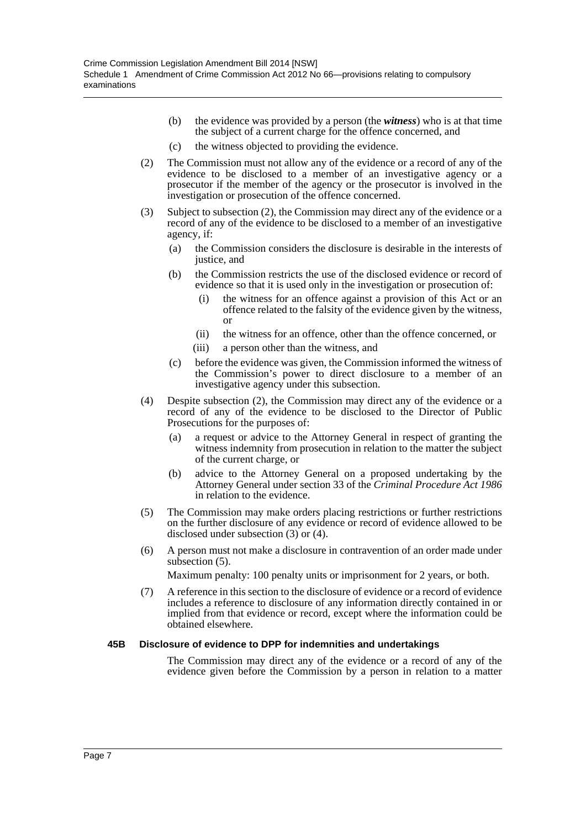- (b) the evidence was provided by a person (the *witness*) who is at that time the subject of a current charge for the offence concerned, and
- (c) the witness objected to providing the evidence.
- (2) The Commission must not allow any of the evidence or a record of any of the evidence to be disclosed to a member of an investigative agency or a prosecutor if the member of the agency or the prosecutor is involved in the investigation or prosecution of the offence concerned.
- (3) Subject to subsection (2), the Commission may direct any of the evidence or a record of any of the evidence to be disclosed to a member of an investigative agency, if:
	- (a) the Commission considers the disclosure is desirable in the interests of justice, and
	- (b) the Commission restricts the use of the disclosed evidence or record of evidence so that it is used only in the investigation or prosecution of:
		- (i) the witness for an offence against a provision of this Act or an offence related to the falsity of the evidence given by the witness, or
		- (ii) the witness for an offence, other than the offence concerned, or
		- (iii) a person other than the witness, and
	- (c) before the evidence was given, the Commission informed the witness of the Commission's power to direct disclosure to a member of an investigative agency under this subsection.
- (4) Despite subsection (2), the Commission may direct any of the evidence or a record of any of the evidence to be disclosed to the Director of Public Prosecutions for the purposes of:
	- (a) a request or advice to the Attorney General in respect of granting the witness indemnity from prosecution in relation to the matter the subject of the current charge, or
	- (b) advice to the Attorney General on a proposed undertaking by the Attorney General under section 33 of the *Criminal Procedure Act 1986* in relation to the evidence.
- (5) The Commission may make orders placing restrictions or further restrictions on the further disclosure of any evidence or record of evidence allowed to be disclosed under subsection (3) or (4).
- (6) A person must not make a disclosure in contravention of an order made under subsection (5).

Maximum penalty: 100 penalty units or imprisonment for 2 years, or both.

(7) A reference in this section to the disclosure of evidence or a record of evidence includes a reference to disclosure of any information directly contained in or implied from that evidence or record, except where the information could be obtained elsewhere.

### **45B Disclosure of evidence to DPP for indemnities and undertakings**

The Commission may direct any of the evidence or a record of any of the evidence given before the Commission by a person in relation to a matter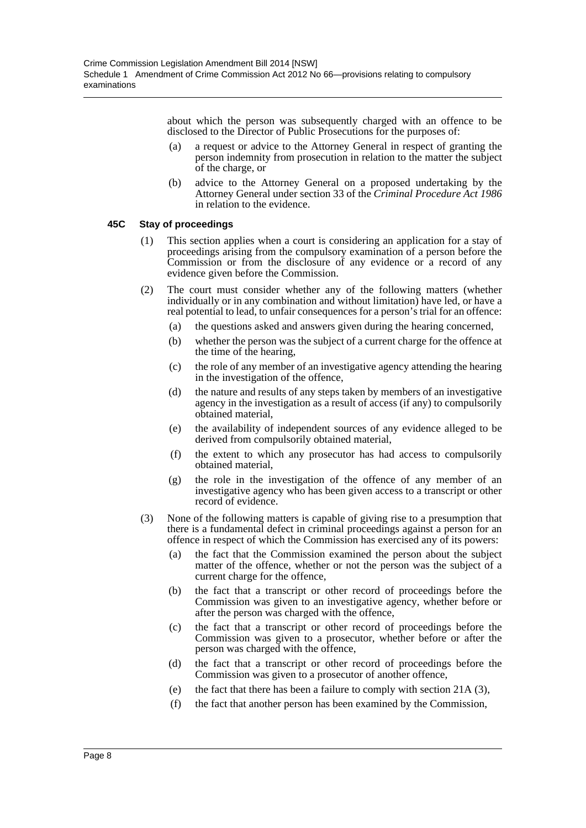about which the person was subsequently charged with an offence to be disclosed to the Director of Public Prosecutions for the purposes of:

- (a) a request or advice to the Attorney General in respect of granting the person indemnity from prosecution in relation to the matter the subject of the charge, or
- (b) advice to the Attorney General on a proposed undertaking by the Attorney General under section 33 of the *Criminal Procedure Act 1986* in relation to the evidence.

### **45C Stay of proceedings**

- (1) This section applies when a court is considering an application for a stay of proceedings arising from the compulsory examination of a person before the Commission or from the disclosure of any evidence or a record of any evidence given before the Commission.
- (2) The court must consider whether any of the following matters (whether individually or in any combination and without limitation) have led, or have a real potential to lead, to unfair consequences for a person's trial for an offence:
	- (a) the questions asked and answers given during the hearing concerned,
	- (b) whether the person was the subject of a current charge for the offence at the time of the hearing,
	- (c) the role of any member of an investigative agency attending the hearing in the investigation of the offence,
	- (d) the nature and results of any steps taken by members of an investigative agency in the investigation as a result of access (if any) to compulsorily obtained material,
	- (e) the availability of independent sources of any evidence alleged to be derived from compulsorily obtained material,
	- (f) the extent to which any prosecutor has had access to compulsorily obtained material,
	- (g) the role in the investigation of the offence of any member of an investigative agency who has been given access to a transcript or other record of evidence.
- (3) None of the following matters is capable of giving rise to a presumption that there is a fundamental defect in criminal proceedings against a person for an offence in respect of which the Commission has exercised any of its powers:
	- (a) the fact that the Commission examined the person about the subject matter of the offence, whether or not the person was the subject of a current charge for the offence,
	- (b) the fact that a transcript or other record of proceedings before the Commission was given to an investigative agency, whether before or after the person was charged with the offence,
	- (c) the fact that a transcript or other record of proceedings before the Commission was given to a prosecutor, whether before or after the person was charged with the offence,
	- (d) the fact that a transcript or other record of proceedings before the Commission was given to a prosecutor of another offence,
	- (e) the fact that there has been a failure to comply with section 21A (3),
	- (f) the fact that another person has been examined by the Commission,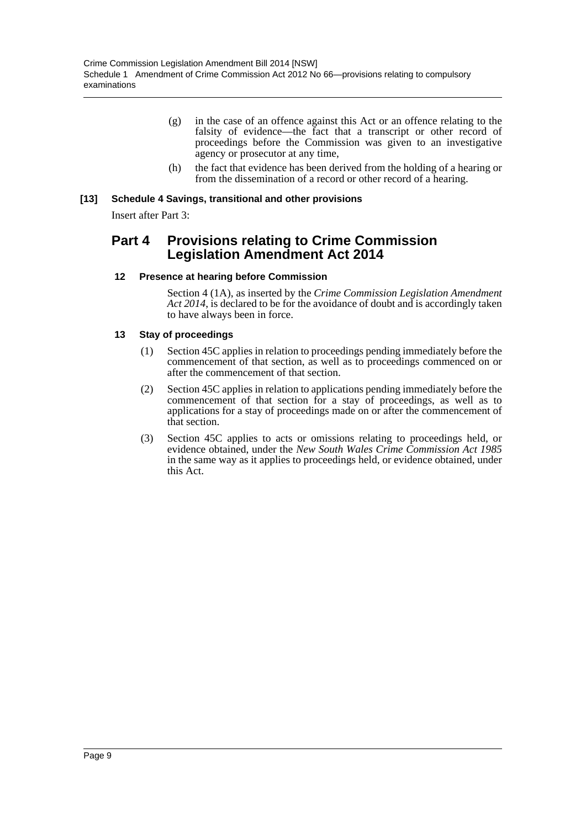- (g) in the case of an offence against this Act or an offence relating to the falsity of evidence—the fact that a transcript or other record of proceedings before the Commission was given to an investigative agency or prosecutor at any time,
- (h) the fact that evidence has been derived from the holding of a hearing or from the dissemination of a record or other record of a hearing.

# **[13] Schedule 4 Savings, transitional and other provisions**

Insert after Part 3:

# **Part 4 Provisions relating to Crime Commission Legislation Amendment Act 2014**

# **12 Presence at hearing before Commission**

Section 4 (1A), as inserted by the *Crime Commission Legislation Amendment Act 2014*, is declared to be for the avoidance of doubt and is accordingly taken to have always been in force.

# **13 Stay of proceedings**

- (1) Section 45C applies in relation to proceedings pending immediately before the commencement of that section, as well as to proceedings commenced on or after the commencement of that section.
- (2) Section 45C applies in relation to applications pending immediately before the commencement of that section for a stay of proceedings, as well as to applications for a stay of proceedings made on or after the commencement of that section.
- (3) Section 45C applies to acts or omissions relating to proceedings held, or evidence obtained, under the *New South Wales Crime Commission Act 1985* in the same way as it applies to proceedings held, or evidence obtained, under this Act.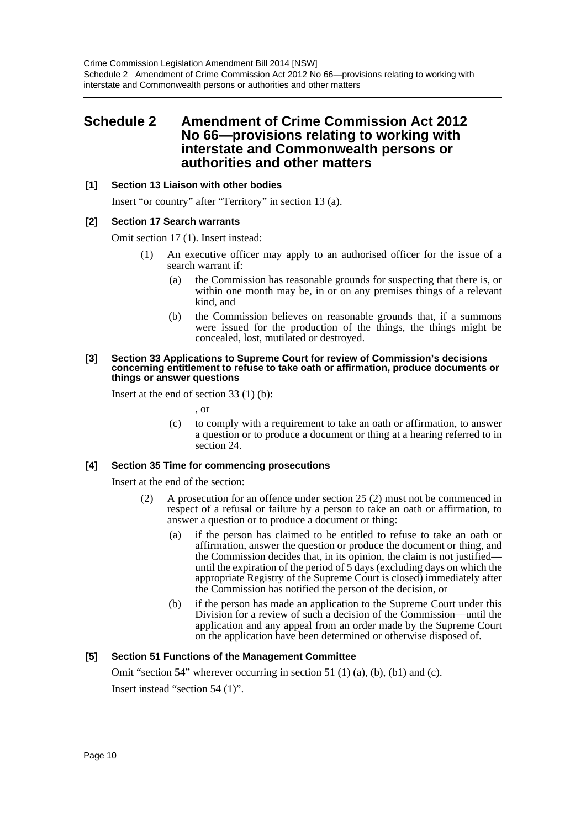# <span id="page-10-0"></span>**Schedule 2 Amendment of Crime Commission Act 2012 No 66—provisions relating to working with interstate and Commonwealth persons or authorities and other matters**

# **[1] Section 13 Liaison with other bodies**

Insert "or country" after "Territory" in section 13 (a).

# **[2] Section 17 Search warrants**

Omit section 17 (1). Insert instead:

- (1) An executive officer may apply to an authorised officer for the issue of a search warrant if:
	- (a) the Commission has reasonable grounds for suspecting that there is, or within one month may be, in or on any premises things of a relevant kind, and
	- (b) the Commission believes on reasonable grounds that, if a summons were issued for the production of the things, the things might be concealed, lost, mutilated or destroyed.

#### **[3] Section 33 Applications to Supreme Court for review of Commission's decisions concerning entitlement to refuse to take oath or affirmation, produce documents or things or answer questions**

Insert at the end of section 33 (1) (b):

- , or
- (c) to comply with a requirement to take an oath or affirmation, to answer a question or to produce a document or thing at a hearing referred to in section 24.

### **[4] Section 35 Time for commencing prosecutions**

Insert at the end of the section:

- (2) A prosecution for an offence under section 25 (2) must not be commenced in respect of a refusal or failure by a person to take an oath or affirmation, to answer a question or to produce a document or thing:
	- (a) if the person has claimed to be entitled to refuse to take an oath or affirmation, answer the question or produce the document or thing, and the Commission decides that, in its opinion, the claim is not justified until the expiration of the period of 5 days (excluding days on which the appropriate Registry of the Supreme Court is closed) immediately after the Commission has notified the person of the decision, or
	- (b) if the person has made an application to the Supreme Court under this Division for a review of such a decision of the Commission—until the application and any appeal from an order made by the Supreme Court on the application have been determined or otherwise disposed of.

# **[5] Section 51 Functions of the Management Committee**

Omit "section 54" wherever occurring in section 51 (1) (a), (b), (b1) and (c).

Insert instead "section 54 (1)".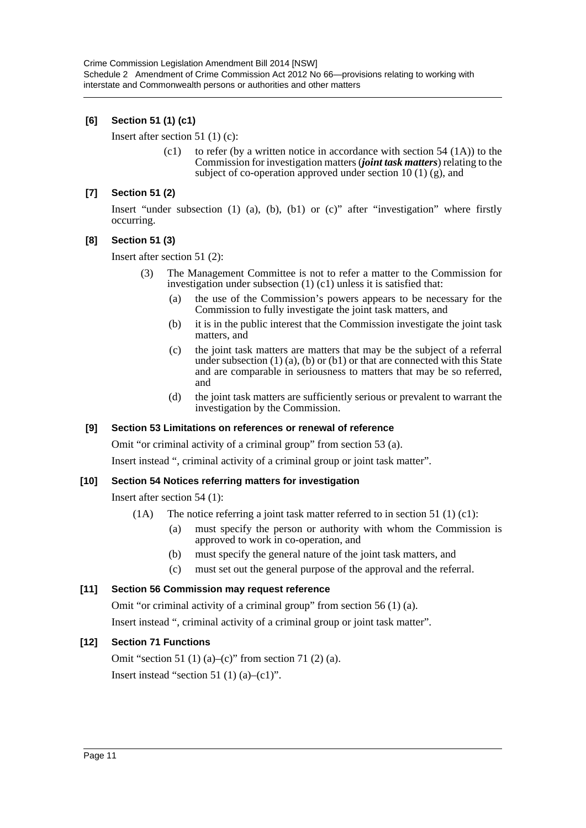# **[6] Section 51 (1) (c1)**

Insert after section 51 (1) (c):

(c1) to refer (by a written notice in accordance with section  $54$  (1A)) to the Commission for investigation matters (*joint task matters*) relating to the subject of co-operation approved under section 10 (1) (g), and

### **[7] Section 51 (2)**

Insert "under subsection  $(1)$   $(a)$ ,  $(b)$ ,  $(b1)$  or  $(c)$ " after "investigation" where firstly occurring.

# **[8] Section 51 (3)**

Insert after section 51 (2):

- The Management Committee is not to refer a matter to the Commission for investigation under subsection (1) (c1) unless it is satisfied that:
	- (a) the use of the Commission's powers appears to be necessary for the Commission to fully investigate the joint task matters, and
	- (b) it is in the public interest that the Commission investigate the joint task matters, and
	- (c) the joint task matters are matters that may be the subject of a referral under subsection  $(1)$   $(a)$ ,  $(b)$  or  $(b1)$  or that are connected with this State and are comparable in seriousness to matters that may be so referred, and
	- (d) the joint task matters are sufficiently serious or prevalent to warrant the investigation by the Commission.

### **[9] Section 53 Limitations on references or renewal of reference**

Omit "or criminal activity of a criminal group" from section 53 (a).

Insert instead ", criminal activity of a criminal group or joint task matter".

### **[10] Section 54 Notices referring matters for investigation**

Insert after section 54 (1):

- (1A) The notice referring a joint task matter referred to in section 51 (1) (c1):
	- (a) must specify the person or authority with whom the Commission is approved to work in co-operation, and
	- (b) must specify the general nature of the joint task matters, and
	- (c) must set out the general purpose of the approval and the referral.

### **[11] Section 56 Commission may request reference**

Omit "or criminal activity of a criminal group" from section 56 (1) (a).

Insert instead ", criminal activity of a criminal group or joint task matter".

### **[12] Section 71 Functions**

Omit "section 51 (1) (a)–(c)" from section 71 (2) (a). Insert instead "section 51 (1) (a)–(c1)".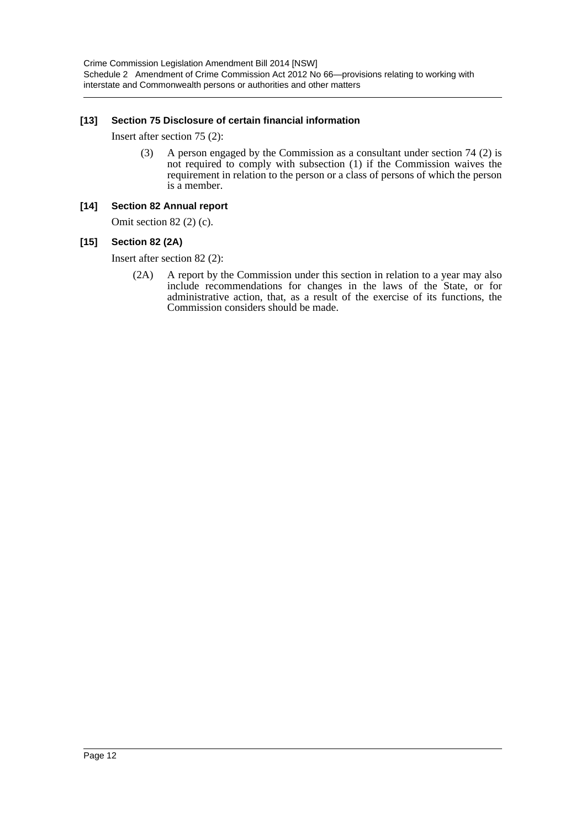# **[13] Section 75 Disclosure of certain financial information**

Insert after section 75 (2):

(3) A person engaged by the Commission as a consultant under section 74 (2) is not required to comply with subsection (1) if the Commission waives the requirement in relation to the person or a class of persons of which the person is a member.

### **[14] Section 82 Annual report**

Omit section 82 (2) (c).

# **[15] Section 82 (2A)**

Insert after section 82 (2):

(2A) A report by the Commission under this section in relation to a year may also include recommendations for changes in the laws of the State, or for administrative action, that, as a result of the exercise of its functions, the Commission considers should be made.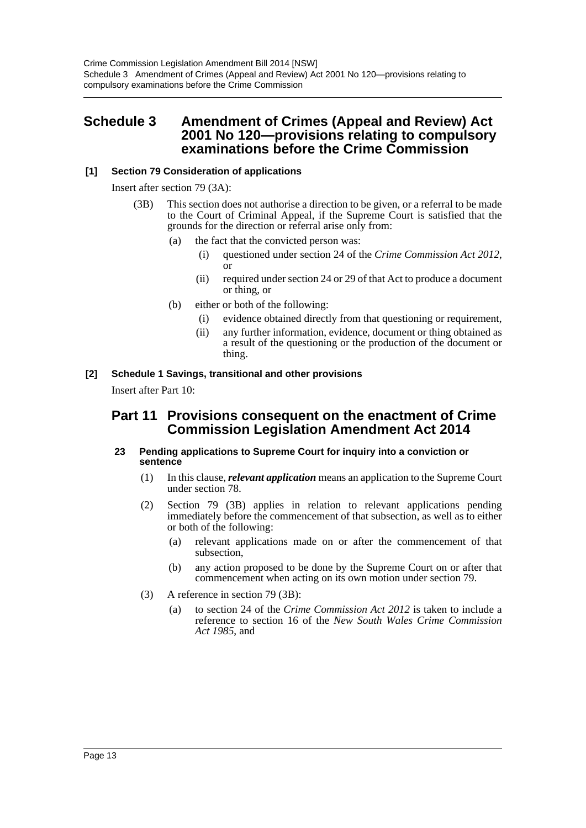# <span id="page-13-0"></span>**Schedule 3 Amendment of Crimes (Appeal and Review) Act 2001 No 120—provisions relating to compulsory examinations before the Crime Commission**

# **[1] Section 79 Consideration of applications**

Insert after section 79 (3A):

- (3B) This section does not authorise a direction to be given, or a referral to be made to the Court of Criminal Appeal, if the Supreme Court is satisfied that the grounds for the direction or referral arise only from:
	- (a) the fact that the convicted person was:
		- (i) questioned under section 24 of the *Crime Commission Act 2012*, or
		- (ii) required under section 24 or 29 of that Act to produce a document or thing, or
	- (b) either or both of the following:
		- (i) evidence obtained directly from that questioning or requirement,
		- (ii) any further information, evidence, document or thing obtained as a result of the questioning or the production of the document or thing.

# **[2] Schedule 1 Savings, transitional and other provisions**

Insert after Part 10:

# **Part 11 Provisions consequent on the enactment of Crime Commission Legislation Amendment Act 2014**

#### **23 Pending applications to Supreme Court for inquiry into a conviction or sentence**

- (1) In this clause, *relevant application* means an application to the Supreme Court under section 78.
- (2) Section 79 (3B) applies in relation to relevant applications pending immediately before the commencement of that subsection, as well as to either or both of the following:
	- (a) relevant applications made on or after the commencement of that subsection,
	- (b) any action proposed to be done by the Supreme Court on or after that commencement when acting on its own motion under section 79.
- (3) A reference in section 79 (3B):
	- (a) to section 24 of the *Crime Commission Act 2012* is taken to include a reference to section 16 of the *New South Wales Crime Commission Act 1985*, and